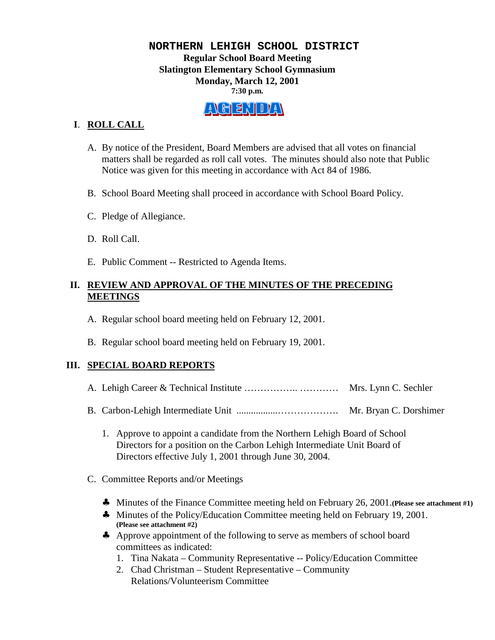## **NORTHERN LEHIGH SCHOOL DISTRICT Regular School Board Meeting Slatington Elementary School Gymnasium Monday, March 12, 2001 7:30 p.m.**

# E1 971 I 74 I

# **I**. **ROLL CALL**

- A. By notice of the President, Board Members are advised that all votes on financial matters shall be regarded as roll call votes. The minutes should also note that Public Notice was given for this meeting in accordance with Act 84 of 1986.
- B. School Board Meeting shall proceed in accordance with School Board Policy.
- C. Pledge of Allegiance.
- D. Roll Call.
- E. Public Comment -- Restricted to Agenda Items.

## **II. REVIEW AND APPROVAL OF THE MINUTES OF THE PRECEDING MEETINGS**

- A. Regular school board meeting held on February 12, 2001.
- B. Regular school board meeting held on February 19, 2001.

# **III. SPECIAL BOARD REPORTS**

- A. Lehigh Career & Technical Institute …………….. ………… Mrs. Lynn C. Sechler
- B. Carbon-Lehigh Intermediate Unit .................………………. Mr. Bryan C. Dorshimer
	- 1. Approve to appoint a candidate from the Northern Lehigh Board of School Directors for a position on the Carbon Lehigh Intermediate Unit Board of Directors effective July 1, 2001 through June 30, 2004.
- C. Committee Reports and/or Meetings
	- ♣ Minutes of the Finance Committee meeting held on February 26, 2001.**(Please see attachment #1)**
	- ♣ Minutes of the Policy/Education Committee meeting held on February 19, 2001. **(Please see attachment #2)**
	- ♣ Approve appointment of the following to serve as members of school board committees as indicated:
		- 1. Tina Nakata Community Representative -- Policy/Education Committee
		- 2. Chad Christman Student Representative Community Relations/Volunteerism Committee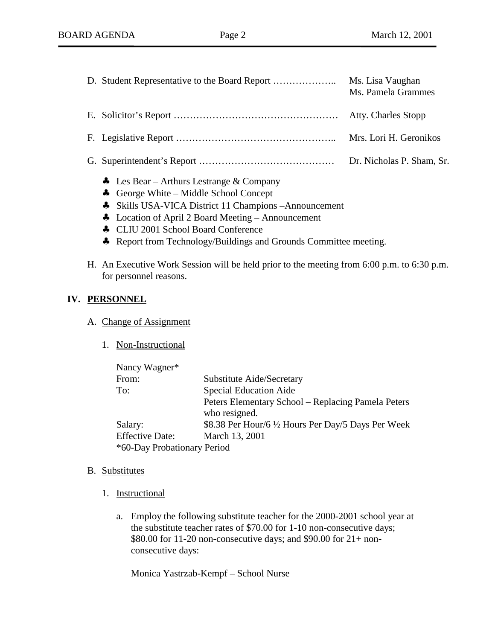|  | Ms. Lisa Vaughan<br>Ms. Pamela Grammes |
|--|----------------------------------------|
|  |                                        |
|  | Mrs. Lori H. Geronikos                 |
|  | Dr. Nicholas P. Sham, Sr.              |

- ♣ Les Bear Arthurs Lestrange & Company
- ♣ George White Middle School Concept
- ♣ Skills USA-VICA District 11 Champions –Announcement
- ♣ Location of April 2 Board Meeting Announcement
- ♣ CLIU 2001 School Board Conference
- ♣ Report from Technology/Buildings and Grounds Committee meeting.
- H. An Executive Work Session will be held prior to the meeting from 6:00 p.m. to 6:30 p.m. for personnel reasons.

## **IV. PERSONNEL**

#### A. Change of Assignment

1. Non-Instructional

| Nancy Wagner*               |                                                     |  |
|-----------------------------|-----------------------------------------------------|--|
| From:                       | Substitute Aide/Secretary                           |  |
| To:                         | <b>Special Education Aide</b>                       |  |
|                             | Peters Elementary School – Replacing Pamela Peters  |  |
|                             | who resigned.                                       |  |
| Salary:                     | \$8.38 Per Hour/6 1/2 Hours Per Day/5 Days Per Week |  |
| <b>Effective Date:</b>      | March 13, 2001                                      |  |
| *60-Day Probationary Period |                                                     |  |

#### B. Substitutes

- 1. Instructional
	- a. Employ the following substitute teacher for the 2000-2001 school year at the substitute teacher rates of \$70.00 for 1-10 non-consecutive days; \$80.00 for 11-20 non-consecutive days; and \$90.00 for 21+ nonconsecutive days:

Monica Yastrzab-Kempf – School Nurse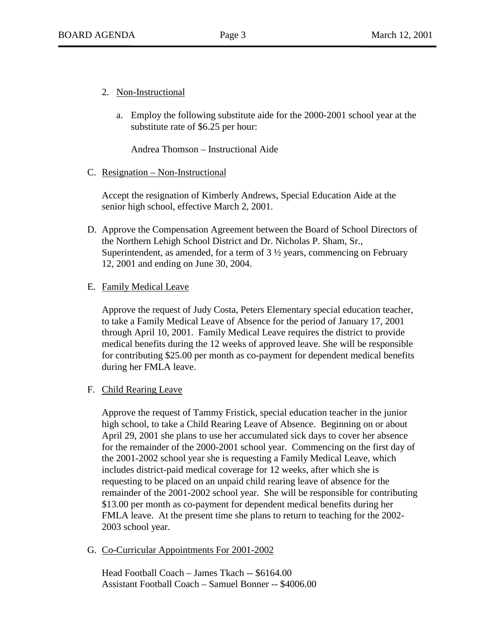- 2. Non-Instructional
	- a. Employ the following substitute aide for the 2000-2001 school year at the substitute rate of \$6.25 per hour:

Andrea Thomson – Instructional Aide

#### C. Resignation – Non-Instructional

Accept the resignation of Kimberly Andrews, Special Education Aide at the senior high school, effective March 2, 2001.

D. Approve the Compensation Agreement between the Board of School Directors of the Northern Lehigh School District and Dr. Nicholas P. Sham, Sr., Superintendent, as amended, for a term of  $3\frac{1}{2}$  years, commencing on February 12, 2001 and ending on June 30, 2004.

## E. Family Medical Leave

Approve the request of Judy Costa, Peters Elementary special education teacher, to take a Family Medical Leave of Absence for the period of January 17, 2001 through April 10, 2001. Family Medical Leave requires the district to provide medical benefits during the 12 weeks of approved leave. She will be responsible for contributing \$25.00 per month as co-payment for dependent medical benefits during her FMLA leave.

F. Child Rearing Leave

Approve the request of Tammy Fristick, special education teacher in the junior high school, to take a Child Rearing Leave of Absence. Beginning on or about April 29, 2001 she plans to use her accumulated sick days to cover her absence for the remainder of the 2000-2001 school year. Commencing on the first day of the 2001-2002 school year she is requesting a Family Medical Leave, which includes district-paid medical coverage for 12 weeks, after which she is requesting to be placed on an unpaid child rearing leave of absence for the remainder of the 2001-2002 school year. She will be responsible for contributing \$13.00 per month as co-payment for dependent medical benefits during her FMLA leave. At the present time she plans to return to teaching for the 2002- 2003 school year.

## G. Co-Curricular Appointments For 2001-2002

Head Football Coach – James Tkach -- \$6164.00 Assistant Football Coach – Samuel Bonner -- \$4006.00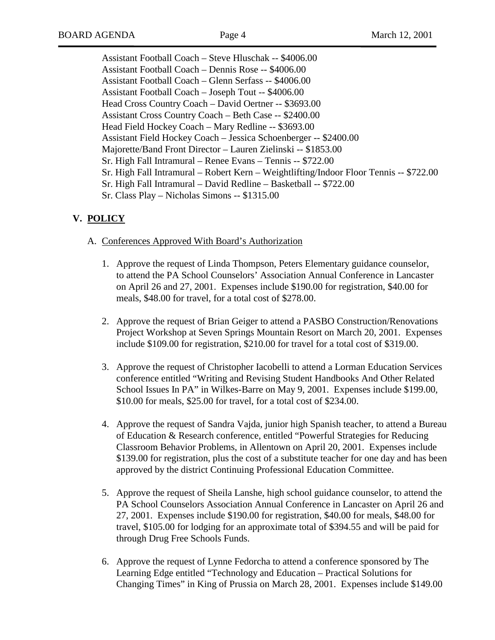Assistant Football Coach – Steve Hluschak -- \$4006.00 Assistant Football Coach – Dennis Rose -- \$4006.00 Assistant Football Coach – Glenn Serfass -- \$4006.00 Assistant Football Coach – Joseph Tout -- \$4006.00 Head Cross Country Coach – David Oertner -- \$3693.00 Assistant Cross Country Coach – Beth Case -- \$2400.00 Head Field Hockey Coach – Mary Redline -- \$3693.00 Assistant Field Hockey Coach – Jessica Schoenberger -- \$2400.00 Majorette/Band Front Director – Lauren Zielinski -- \$1853.00 Sr. High Fall Intramural – Renee Evans – Tennis -- \$722.00 Sr. High Fall Intramural – Robert Kern – Weightlifting/Indoor Floor Tennis -- \$722.00 Sr. High Fall Intramural – David Redline – Basketball -- \$722.00 Sr. Class Play – Nicholas Simons -- \$1315.00

# **V. POLICY**

#### A. Conferences Approved With Board's Authorization

- 1. Approve the request of Linda Thompson, Peters Elementary guidance counselor, to attend the PA School Counselors' Association Annual Conference in Lancaster on April 26 and 27, 2001. Expenses include \$190.00 for registration, \$40.00 for meals, \$48.00 for travel, for a total cost of \$278.00.
- 2. Approve the request of Brian Geiger to attend a PASBO Construction/Renovations Project Workshop at Seven Springs Mountain Resort on March 20, 2001. Expenses include \$109.00 for registration, \$210.00 for travel for a total cost of \$319.00.
- 3. Approve the request of Christopher Iacobelli to attend a Lorman Education Services conference entitled "Writing and Revising Student Handbooks And Other Related School Issues In PA" in Wilkes-Barre on May 9, 2001. Expenses include \$199.00, \$10.00 for meals, \$25.00 for travel, for a total cost of \$234.00.
- 4. Approve the request of Sandra Vajda, junior high Spanish teacher, to attend a Bureau of Education & Research conference, entitled "Powerful Strategies for Reducing Classroom Behavior Problems, in Allentown on April 20, 2001. Expenses include \$139.00 for registration, plus the cost of a substitute teacher for one day and has been approved by the district Continuing Professional Education Committee.
- 5. Approve the request of Sheila Lanshe, high school guidance counselor, to attend the PA School Counselors Association Annual Conference in Lancaster on April 26 and 27, 2001. Expenses include \$190.00 for registration, \$40.00 for meals, \$48.00 for travel, \$105.00 for lodging for an approximate total of \$394.55 and will be paid for through Drug Free Schools Funds.
- 6. Approve the request of Lynne Fedorcha to attend a conference sponsored by The Learning Edge entitled "Technology and Education – Practical Solutions for Changing Times" in King of Prussia on March 28, 2001. Expenses include \$149.00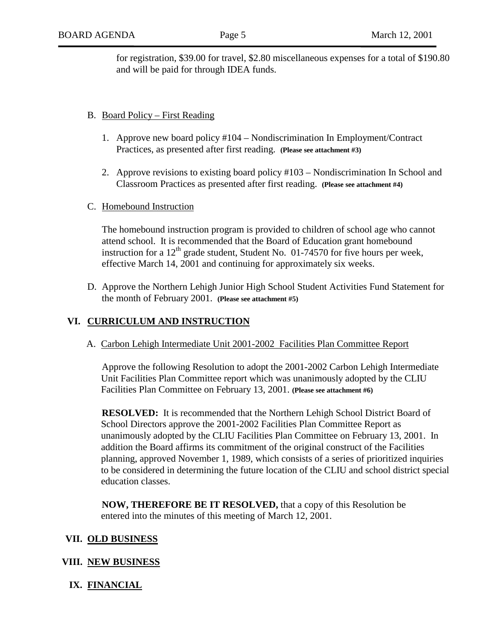for registration, \$39.00 for travel, \$2.80 miscellaneous expenses for a total of \$190.80 and will be paid for through IDEA funds.

#### B. Board Policy – First Reading

- 1. Approve new board policy #104 Nondiscrimination In Employment/Contract Practices, as presented after first reading. **(Please see attachment #3)**
- 2. Approve revisions to existing board policy #103 Nondiscrimination In School and Classroom Practices as presented after first reading. **(Please see attachment #4)**
- C. Homebound Instruction

The homebound instruction program is provided to children of school age who cannot attend school. It is recommended that the Board of Education grant homebound instruction for a  $12<sup>th</sup>$  grade student, Student No. 01-74570 for five hours per week, effective March 14, 2001 and continuing for approximately six weeks.

D. Approve the Northern Lehigh Junior High School Student Activities Fund Statement for the month of February 2001. **(Please see attachment #5)**

## **VI. CURRICULUM AND INSTRUCTION**

A. Carbon Lehigh Intermediate Unit 2001-2002 Facilities Plan Committee Report

Approve the following Resolution to adopt the 2001-2002 Carbon Lehigh Intermediate Unit Facilities Plan Committee report which was unanimously adopted by the CLIU Facilities Plan Committee on February 13, 2001. **(Please see attachment #6)**

**RESOLVED:** It is recommended that the Northern Lehigh School District Board of School Directors approve the 2001-2002 Facilities Plan Committee Report as unanimously adopted by the CLIU Facilities Plan Committee on February 13, 2001. In addition the Board affirms its commitment of the original construct of the Facilities planning, approved November 1, 1989, which consists of a series of prioritized inquiries to be considered in determining the future location of the CLIU and school district special education classes.

**NOW, THEREFORE BE IT RESOLVED,** that a copy of this Resolution be entered into the minutes of this meeting of March 12, 2001.

#### **VII. OLD BUSINESS**

## **VIII. NEW BUSINESS**

**IX. FINANCIAL**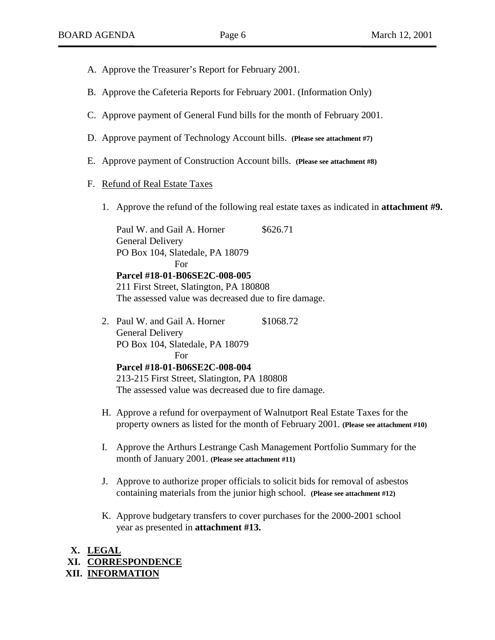- A. Approve the Treasurer's Report for February 2001.
- B. Approve the Cafeteria Reports for February 2001. (Information Only)
- C. Approve payment of General Fund bills for the month of February 2001.
- D. Approve payment of Technology Account bills. **(Please see attachment #7)**
- E. Approve payment of Construction Account bills. **(Please see attachment #8)**

#### F. Refund of Real Estate Taxes

1. Approve the refund of the following real estate taxes as indicated in **attachment #9.**

Paul W. and Gail A. Horner \$626.71 General Delivery PO Box 104, Slatedale, PA 18079 For **Parcel #18-01-B06SE2C-008-005** 211 First Street, Slatington, PA 180808 The assessed value was decreased due to fire damage.

- 2. Paul W. and Gail A. Horner \$1068.72 General Delivery PO Box 104, Slatedale, PA 18079 For **Parcel #18-01-B06SE2C-008-004** 213-215 First Street, Slatington, PA 180808 The assessed value was decreased due to fire damage.
- H. Approve a refund for overpayment of Walnutport Real Estate Taxes for the property owners as listed for the month of February 2001. **(Please see attachment #10)**
- I. Approve the Arthurs Lestrange Cash Management Portfolio Summary for the month of January 2001. **(Please see attachment #11)**
- J. Approve to authorize proper officials to solicit bids for removal of asbestos containing materials from the junior high school. **(Please see attachment #12)**
- K. Approve budgetary transfers to cover purchases for the 2000-2001 school year as presented in **attachment #13.**

# **X. LEGAL**

**XI. CORRESPONDENCE**

**XII. INFORMATION**